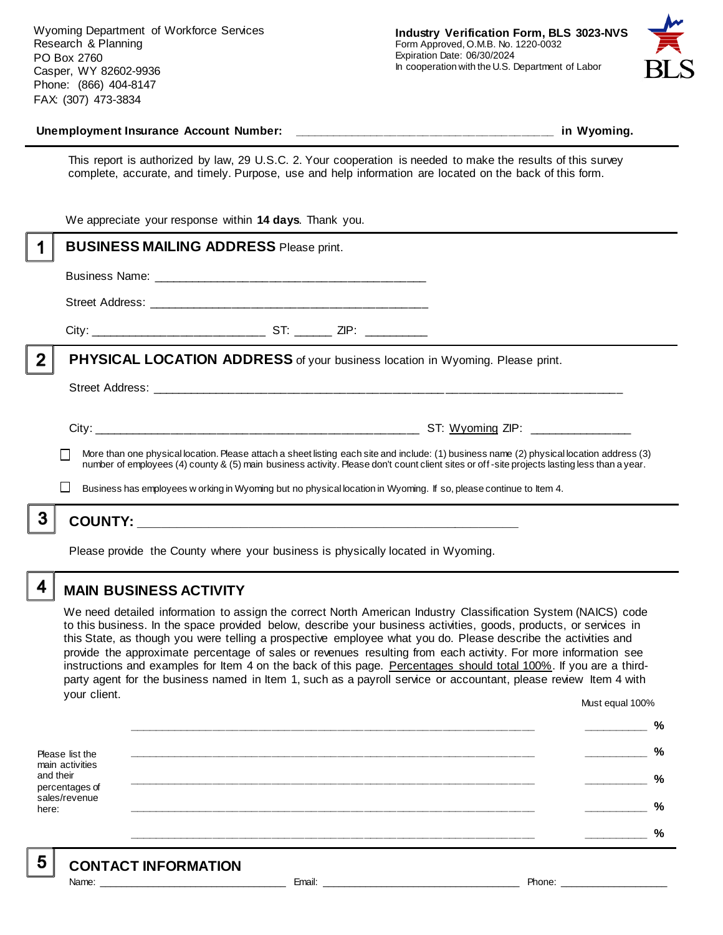Wyoming Department of Workforce Services Research & Planning PO Box 2760 Casper, WY 82602-9936 Phone: (866) 404-8147 FAX: (307) 473-3834



#### **Unemployment Insurance Account Number: \_\_\_\_\_\_\_\_\_\_\_\_\_\_\_\_\_\_\_\_\_\_\_\_\_\_\_\_\_\_\_\_\_\_\_\_\_\_\_\_ in Wyoming.**

This report is authorized by law, 29 U.S.C. 2. Your cooperation is needed to make the results of this survey complete, accurate, and timely. Purpose, use and help information are located on the back of this form.

|          | We appreciate your response within 14 days. Thank you.                                                                                                                                                                                                                                   |
|----------|------------------------------------------------------------------------------------------------------------------------------------------------------------------------------------------------------------------------------------------------------------------------------------------|
|          | <b>BUSINESS MAILING ADDRESS Please print.</b>                                                                                                                                                                                                                                            |
|          |                                                                                                                                                                                                                                                                                          |
|          |                                                                                                                                                                                                                                                                                          |
|          |                                                                                                                                                                                                                                                                                          |
| $\bf{2}$ | <b>PHYSICAL LOCATION ADDRESS</b> of your business location in Wyoming. Please print.                                                                                                                                                                                                     |
|          |                                                                                                                                                                                                                                                                                          |
|          |                                                                                                                                                                                                                                                                                          |
|          | More than one physical location. Please attach a sheet listing each site and include: (1) business name (2) physical location address (3)<br>number of employees (4) county & (5) main business activity. Please don't count client sites or off-site projects lasting less than a year. |
|          | Business has employees w orking in Wyoming but no physical location in Wyoming. If so, please continue to Item 4.                                                                                                                                                                        |
|          |                                                                                                                                                                                                                                                                                          |
|          |                                                                                                                                                                                                                                                                                          |

Please provide the County where your business is physically located in Wyoming.

4

5

### **MAIN BUSINESS ACTIVITY**

We need detailed information to assign the correct North American Industry Classification System (NAICS) code to this business. In the space provided below, describe your business activities, goods, products, or services in this State, as though you were telling a prospective employee what you do. Please describe the activities and provide the approximate percentage of sales or revenues resulting from each activity. For more information see instructions and examples for Item 4 on the back of this page. Percentages should total 100%. If you are a thirdparty agent for the business named in Item 1, such as a payroll service or accountant, please review Item 4 with your client. Must equal 100%

Please list the main activities and their percentages of sales/revenue here: **\_\_\_\_\_\_\_\_\_\_\_\_\_\_\_\_\_\_\_\_\_\_\_\_\_\_\_\_\_\_\_\_\_\_\_\_\_\_\_\_\_\_\_\_\_\_\_\_\_\_\_\_\_\_\_\_\_\_\_\_\_\_ \_\_\_\_\_\_\_\_\_\_ % \_\_\_\_\_\_\_\_\_\_\_\_\_\_\_\_\_\_\_\_\_\_\_\_\_\_\_\_\_\_\_\_\_\_\_\_\_\_\_\_\_\_\_\_\_\_\_\_\_\_\_\_\_\_\_\_\_\_\_\_\_\_ \_\_\_\_\_\_\_\_\_\_ % \_\_\_\_\_\_\_\_\_\_\_\_\_\_\_\_\_\_\_\_\_\_\_\_\_\_\_\_\_\_\_\_\_\_\_\_\_\_\_\_\_\_\_\_\_\_\_\_\_\_\_\_\_\_\_\_\_\_\_\_\_\_ \_\_\_\_\_\_\_\_\_\_ % \_\_\_\_\_\_\_\_\_\_\_\_\_\_\_\_\_\_\_\_\_\_\_\_\_\_\_\_\_\_\_\_\_\_\_\_\_\_\_\_\_\_\_\_\_\_\_\_\_\_\_\_\_\_\_\_\_\_\_\_\_\_ \_\_\_\_\_\_\_\_\_\_ % \_\_\_\_\_\_\_\_\_\_\_\_\_\_\_\_\_\_\_\_\_\_\_\_\_\_\_\_\_\_\_\_\_\_\_\_\_\_\_\_\_\_\_\_\_\_\_\_\_\_\_\_\_\_\_\_\_\_\_\_\_\_ \_\_\_\_\_\_\_\_\_\_ %**